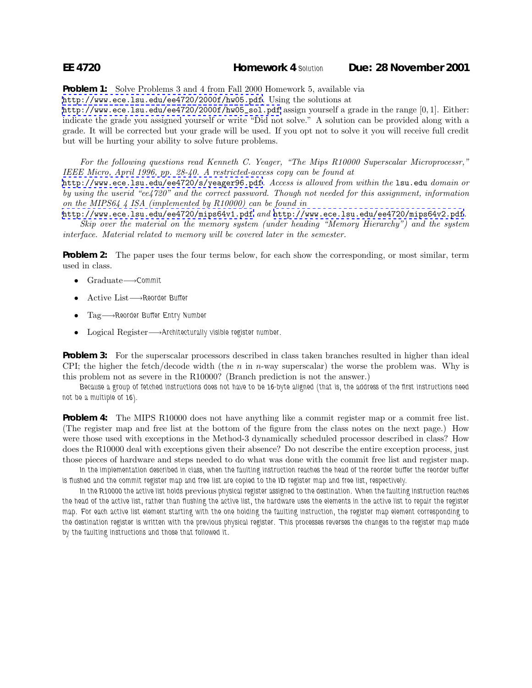**Problem 1:** Solve Problems 3 and 4 from Fall 2000 Homework 5, available via

<http://www.ece.lsu.edu/ee4720/2000f/hw05.pdf>. Using the solutions at

[http://www.ece.lsu.edu/ee4720/2000f/hw05\\_sol.pdf](http://www.ece.lsu.edu/ee4720/2000f/hw05_sol.pdf) assign yourself a grade in the range [0, 1]. Either: indicate the grade you assigned yourself or write "Did not solve." A solution can be provided along with a grade. It will be corrected but your grade will be used. If you opt not to solve it you will receive full credit but will be hurting your ability to solve future problems.

*For the following questions read Kenneth C. Yeager, "The Mips R10000 Superscalar Microprocessr," IEEE Micro, April 1996, pp. 28-40. A restricted-access copy can be found at*

<http://www.ece.lsu.edu/ee4720/s/yeager96.pdf>*. Access is allowed from within the* lsu.edu *domain or by using the userid "ee4720" and the correct password. Though not needed for this assignment, information on the MIPS64 4 ISA (implemented by R10000) can be found in*

<http://www.ece.lsu.edu/ee4720/mips64v1.pdf> *and* <http://www.ece.lsu.edu/ee4720/mips64v2.pdf>*. Skip over the material on the memory system (under heading "Memory Hierarchy") and the system*

*interface. Material related to memory will be covered later in the semester.*

**Problem 2:** The paper uses the four terms below, for each show the corresponding, or most similar, term used in class.

- Graduate−→*Commit*
- Active List−→*Reorder Buffer*
- Tag−→*Reorder Buffer Entry Number*
- Logical Register−→*Architecturally visible register number.*

**Problem 3:** For the superscalar processors described in class taken branches resulted in higher than ideal CPI; the higher the fetch/decode width (the n in n-way superscalar) the worse the problem was. Why is this problem not as severe in the R10000? (Branch prediction is not the answer.)

*Because a group of fetched instructions does not have to be 16-byte aligned (that is, the address of the first instructions need not be a multiple of 16).*

**Problem 4:** The MIPS R10000 does not have anything like a commit register map or a commit free list. (The register map and free list at the bottom of the figure from the class notes on the next page.) How were those used with exceptions in the Method-3 dynamically scheduled processor described in class? How does the R10000 deal with exceptions given their absence? Do not describe the entire exception process, just those pieces of hardware and steps needed to do what was done with the commit free list and register map.

In the implementation described in class, when the faulting instruction reaches the head of the reorder buffer the reorder buffer *is flushed and the commit register map and free list are copied to the ID register map and free list, respectively.*

In the R10000 the active list holds previous physical register assigned to the destination. When the faulting instruction reaches *the head of the active list, rather than flushing the active list, the hardware uses the elements in the active list to repair the register map. For each active list element starting with the one holding the faulting instruction, the register map element corresponding to the destination register is written with the previous physical register. This processes reverses the changes to the register map made by the faulting instructions and those that followed it.*